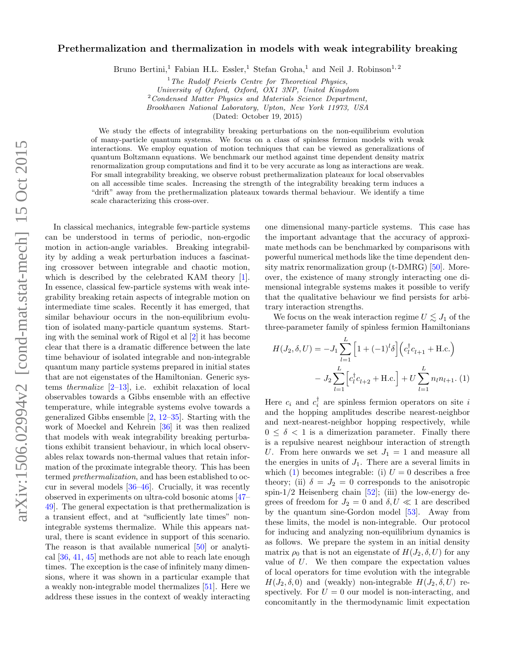## Prethermalization and thermalization in models with weak integrability breaking

Bruno Bertini,<sup>1</sup> Fabian H.L. Essler,<sup>1</sup> Stefan Groha,<sup>1</sup> and Neil J. Robinson<sup>1,2</sup>

 $1$ <sup>1</sup>The Rudolf Peierls Centre for Theoretical Physics,

University of Oxford, Oxford, OX1 3NP, United Kingdom

 $2$ Condensed Matter Physics and Materials Science Department,

Brookhaven National Laboratory, Upton, New York 11973, USA

(Dated: October 19, 2015)

We study the effects of integrability breaking perturbations on the non-equilibrium evolution of many-particle quantum systems. We focus on a class of spinless fermion models with weak interactions. We employ equation of motion techniques that can be viewed as generalizations of quantum Boltzmann equations. We benchmark our method against time dependent density matrix renormalization group computations and find it to be very accurate as long as interactions are weak. For small integrability breaking, we observe robust prethermalization plateaux for local observables on all accessible time scales. Increasing the strength of the integrability breaking term induces a "drift" away from the prethermalization plateaux towards thermal behaviour. We identify a time scale characterizing this cross-over.

In classical mechanics, integrable few-particle systems can be understood in terms of periodic, non-ergodic motion in action-angle variables. Breaking integrability by adding a weak perturbation induces a fascinating crossover between integrable and chaotic motion, which is described by the celebrated KAM theory [\[1\]](#page-4-0). In essence, classical few-particle systems with weak integrability breaking retain aspects of integrable motion on intermediate time scales. Recently it has emerged, that similar behaviour occurs in the non-equilibrium evolution of isolated many-particle quantum systems. Starting with the seminal work of Rigol et al [\[2\]](#page-4-1) it has become clear that there is a dramatic difference between the late time behaviour of isolated integrable and non-integrable quantum many particle systems prepared in initial states that are not eigenstates of the Hamiltonian. Generic systems *thermalize*  $[2-13]$  $[2-13]$ , i.e. exhibit relaxation of local observables towards a Gibbs ensemble with an effective temperature, while integrable systems evolve towards a generalized Gibbs ensemble [\[2,](#page-4-1) [12–](#page-4-3)[35\]](#page-4-4). Starting with the work of Moeckel and Kehrein [\[36\]](#page-4-5) it was then realized that models with weak integrability breaking perturbations exhibit transient behaviour, in which local observables relax towards non-thermal values that retain information of the proximate integrable theory. This has been termed prethermalization, and has been established to occur in several models [\[36](#page-4-5)[–46\]](#page-4-6). Crucially, it was recently observed in experiments on ultra-cold bosonic atoms [\[47–](#page-4-7) [49\]](#page-4-8). The general expectation is that prethermalization is a transient effect, and at "sufficiently late times" nonintegrable systems thermalize. While this appears natural, there is scant evidence in support of this scenario. The reason is that available numerical [\[50\]](#page-4-9) or analytical [\[36,](#page-4-5) [41,](#page-4-10) [45\]](#page-4-11) methods are not able to reach late enough times. The exception is the case of infinitely many dimensions, where it was shown in a particular example that a weakly non-integrable model thermalizes [\[51\]](#page-4-12). Here we address these issues in the context of weakly interacting

one dimensional many-particle systems. This case has the important advantage that the accuracy of approximate methods can be benchmarked by comparisons with powerful numerical methods like the time dependent density matrix renormalization group (t-DMRG) [\[50\]](#page-4-9). Moreover, the existence of many strongly interacting one dimensional integrable systems makes it possible to verify that the qualitative behaviour we find persists for arbitrary interaction strengths.

We focus on the weak interaction regime  $U \lesssim J_1$  of the three-parameter family of spinless fermion Hamiltonians

<span id="page-0-0"></span>
$$
H(J_2, \delta, U) = -J_1 \sum_{l=1}^{L} \left[ 1 + (-1)^l \delta \right] \left( c_l^{\dagger} c_{l+1} + \text{H.c.} \right)
$$

$$
- J_2 \sum_{l=1}^{L} \left[ c_l^{\dagger} c_{l+2} + \text{H.c.} \right] + U \sum_{l=1}^{L} n_l n_{l+1}. (1)
$$

Here  $c_i$  and  $c_i^{\dagger}$  are spinless fermion operators on site i and the hopping amplitudes describe nearest-neighbor and next-nearest-neighbor hopping respectively, while  $0 \leq \delta < 1$  is a dimerization parameter. Finally there is a repulsive nearest neighbour interaction of strength U. From here onwards we set  $J_1 = 1$  and measure all the energies in units of  $J_1$ . There are a several limits in which [\(1\)](#page-0-0) becomes integrable: (i)  $U = 0$  describes a free theory; (ii)  $\delta = J_2 = 0$  corresponds to the anisotropic spin- $1/2$  Heisenberg chain [\[52\]](#page-4-13); (iii) the low-energy degrees of freedom for  $J_2 = 0$  and  $\delta, U \ll 1$  are described by the quantum sine-Gordon model [\[53\]](#page-4-14). Away from these limits, the model is non-integrable. Our protocol for inducing and analyzing non-equilibrium dynamics is as follows. We prepare the system in an initial density matrix  $\rho_0$  that is not an eigenstate of  $H(J_2, \delta, U)$  for any value of U. We then compare the expectation values of local operators for time evolution with the integrable  $H(J_2, \delta, 0)$  and (weakly) non-integrable  $H(J_2, \delta, U)$  respectively. For  $U = 0$  our model is non-interacting, and concomitantly in the thermodynamic limit expectation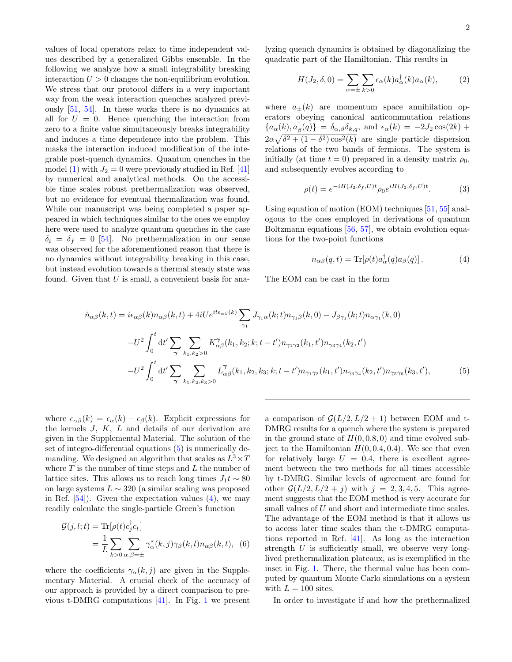values of local operators relax to time independent values described by a generalized Gibbs ensemble. In the following we analyze how a small integrability breaking interaction  $U > 0$  changes the non-equilibrium evolution. We stress that our protocol differs in a very important way from the weak interaction quenches analyzed previously [\[51,](#page-4-12) [54\]](#page-4-15). In these works there is no dynamics at all for  $U = 0$ . Hence quenching the interaction from zero to a finite value simultaneously breaks integrability and induces a time dependence into the problem. This masks the interaction induced modification of the integrable post-quench dynamics. Quantum quenches in the model [\(1\)](#page-0-0) with  $J_2 = 0$  were previously studied in Ref. [\[41\]](#page-4-10) by numerical and analytical methods. On the accessible time scales robust prethermalization was observed, but no evidence for eventual thermalization was found. While our manuscript was being completed a paper appeared in which techniques similar to the ones we employ here were used to analyze quantum quenches in the case  $\delta_i = \delta_f = 0$  [\[54\]](#page-4-15). No prethermalization in our sense was observed for the aforementioned reason that there is no dynamics without integrability breaking in this case, but instead evolution towards a thermal steady state was found. Given that  $U$  is small, a convenient basis for analyzing quench dynamics is obtained by diagonalizing the quadratic part of the Hamiltonian. This results in

$$
H(J_2, \delta, 0) = \sum_{\alpha = \pm} \sum_{k > 0} \epsilon_{\alpha}(k) a_{\alpha}^{\dagger}(k) a_{\alpha}(k),\tag{2}
$$

where  $a_{+}(k)$  are momentum space annihilation operators obeying canonical anticommutation relations  ${a_{\alpha}(k), a_{\beta}^{\dagger}(q)} = \delta_{\alpha,\beta}\delta_{k,q}$ , and  $\epsilon_{\alpha}(k) = -2J_2 \cos(2k) +$  $2\alpha\sqrt{\delta^2 + (1-\delta^2)\cos^2(k)}$  are single particle dispersion relations of the two bands of fermions. The system is initially (at time  $t = 0$ ) prepared in a density matrix  $\rho_0$ , and subsequently evolves according to

<span id="page-1-3"></span>
$$
\rho(t) = e^{-iH(J_2, \delta_f, U)t} \rho_0 e^{iH(J_2, \delta_f, U)t}.
$$
\n(3)

Using equation of motion (EOM) techniques [\[51,](#page-4-12) [55\]](#page-4-16) analogous to the ones employed in derivations of quantum Boltzmann equations [\[56,](#page-4-17) [57\]](#page-4-18), we obtain evolution equations for the two-point functions

<span id="page-1-1"></span>
$$
n_{\alpha\beta}(q,t) = \text{Tr}[\rho(t)a_{\alpha}^{\dagger}(q)a_{\beta}(q)]. \qquad (4)
$$

The EOM can be cast in the form

<span id="page-1-0"></span>
$$
\dot{n}_{\alpha\beta}(k,t) = i\epsilon_{\alpha\beta}(k)n_{\alpha\beta}(k,t) + 4iUe^{it\epsilon_{\alpha\beta}(k)}\sum_{\gamma_1} J_{\gamma_1\alpha}(k;t)n_{\gamma_1\beta}(k,0) - J_{\beta\gamma_1}(k;t)n_{\alpha\gamma_1}(k,0) \n- U^2 \int_0^t dt' \sum_{\gamma} \sum_{k_1,k_2>0} K_{\alpha\beta}^{\gamma}(k_1,k_2;k;t-t')n_{\gamma_1\gamma_2}(k_1,t')n_{\gamma_3\gamma_4}(k_2,t') \n- U^2 \int_0^t dt' \sum_{\gamma} \sum_{k_1,k_2,k_3>0} L_{\alpha\beta}^{\gamma}(k_1,k_2,k_3;k;t-t')n_{\gamma_1\gamma_2}(k_1,t')n_{\gamma_3\gamma_4}(k_2,t')n_{\gamma_5\gamma_6}(k_3,t'),
$$
\n(5)

where  $\epsilon_{\alpha\beta}(k) = \epsilon_{\alpha}(k) - \epsilon_{\beta}(k)$ . Explicit expressions for the kernels  $J, K, L$  and details of our derivation are given in the Supplemental Material. The solution of the set of integro-differential equations [\(5\)](#page-1-0) is numerically demanding. We designed an algorithm that scales as  $L^3 \times T$ where  $T$  is the number of time steps and  $L$  the number of lattice sites. This allows us to reach long times  $J_1 t \sim 80$ on large systems  $L \sim 320$  (a similar scaling was proposed in Ref.  $[54]$ . Given the expectation values  $(4)$ , we may readily calculate the single-particle Green's function

<span id="page-1-2"></span>
$$
\mathcal{G}(j,l;t) = \text{Tr}[\rho(t)c_j^{\dagger}c_l]
$$
  
= 
$$
\frac{1}{L} \sum_{k>0} \sum_{\alpha,\beta=\pm} \gamma_{\alpha}^*(k,j) \gamma_{\beta}(k,l) n_{\alpha\beta}(k,t), \quad (6)
$$

where the coefficients  $\gamma_{\alpha}(k, j)$  are given in the Supplementary Material. A crucial check of the accuracy of our approach is provided by a direct comparison to previous t-DMRG computations [\[41\]](#page-4-10). In Fig. [1](#page-2-0) we present

a comparison of  $\mathcal{G}(L/2, L/2 + 1)$  between EOM and t-DMRG results for a quench where the system is prepared in the ground state of  $H(0, 0.8, 0)$  and time evolved subject to the Hamiltonian  $H(0, 0.4, 0.4)$ . We see that even for relatively large  $U = 0.4$ , there is excellent agreement between the two methods for all times accessible by t-DMRG. Similar levels of agreement are found for other  $\mathcal{G}(L/2, L/2 + j)$  with  $j = 2, 3, 4, 5$ . This agreement suggests that the EOM method is very accurate for small values of U and short and intermediate time scales. The advantage of the EOM method is that it allows us to access later time scales than the t-DMRG computations reported in Ref. [\[41\]](#page-4-10). As long as the interaction strength U is sufficiently small, we observe very longlived prethermalization plateaux, as is exemplified in the inset in Fig. [1.](#page-2-0) There, the thermal value has been computed by quantum Monte Carlo simulations on a system with  $L = 100$  sites.

In order to investigate if and how the prethermalized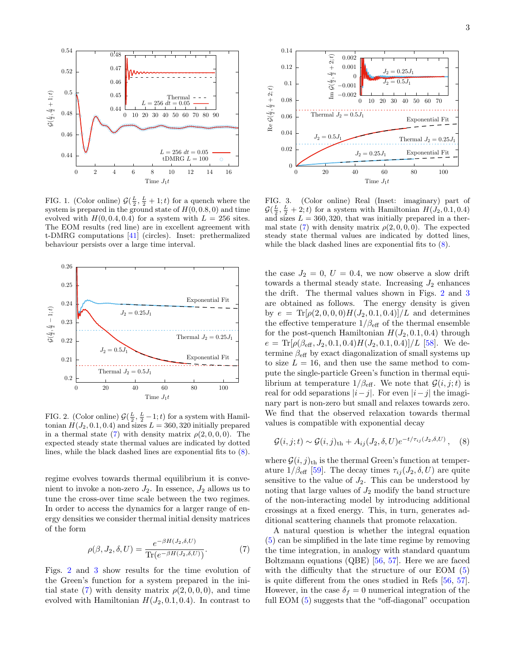

<span id="page-2-0"></span>FIG. 1. (Color online)  $\mathcal{G}(\frac{L}{2}, \frac{L}{2} + 1; t)$  for a quench where the system is prepared in the ground state of  $H(0, 0.8, 0)$  and time evolved with  $H(0, 0.4, 0.4)$  for a system with  $L = 256$  sites. The EOM results (red line) are in excellent agreement with t-DMRG computations [\[41\]](#page-4-10) (circles). Inset: prethermalized behaviour persists over a large time interval.



<span id="page-2-3"></span>FIG. 2. (Color online)  $\mathcal{G}(\frac{L}{2}, \frac{L}{2}-1; t)$  for a system with Hamiltonian  $H(J_2, 0.1, 0.4)$  and sizes  $L = 360, 320$  initially prepared in a thermal state [\(7\)](#page-2-1) with density matrix  $\rho(2,0,0,0)$ . The expected steady state thermal values are indicated by dotted lines, while the black dashed lines are exponential fits to [\(8\)](#page-2-2).

regime evolves towards thermal equilibrium it is convenient to invoke a non-zero  $J_2$ . In essence,  $J_2$  allows us to tune the cross-over time scale between the two regimes. In order to access the dynamics for a larger range of energy densities we consider thermal initial density matrices of the form

<span id="page-2-1"></span>
$$
\rho(\beta, J_2, \delta, U) = \frac{e^{-\beta H(J_2, \delta, U)}}{\text{Tr}(e^{-\beta H(J_2, \delta, U)})}.
$$
\n(7)

Figs. [2](#page-2-3) and [3](#page-2-4) show results for the time evolution of the Green's function for a system prepared in the ini-tial state [\(7\)](#page-2-1) with density matrix  $\rho(2,0,0,0)$ , and time evolved with Hamiltonian  $H(J_2, 0.1, 0.4)$ . In contrast to



<span id="page-2-4"></span>FIG. 3. (Color online) Real (Inset: imaginary) part of  $\mathcal{G}(\frac{L}{2}, \frac{L}{2} + 2; t)$  for a system with Hamiltonian  $H(J_2, 0.1, 0.4)$ and sizes  $L = 360, 320$ , that was initially prepared in a ther-mal state [\(7\)](#page-2-1) with density matrix  $\rho(2,0,0,0)$ . The expected steady state thermal values are indicated by dotted lines, while the black dashed lines are exponential fits to [\(8\)](#page-2-2).

the case  $J_2 = 0, U = 0.4$ , we now observe a slow drift towards a thermal steady state. Increasing  $J_2$  enhances the drift. The thermal values shown in Figs. [2](#page-2-3) and [3](#page-2-4) are obtained as follows. The energy density is given by  $e = \text{Tr}[\rho(2, 0, 0, 0)H(J_2, 0.1, 0.4)]/L$  and determines the effective temperature  $1/\beta_{\text{eff}}$  of the thermal ensemble for the post-quench Hamiltonian  $H(J_2, 0.1, 0.4)$  through  $e = \text{Tr}[\rho(\beta_{\text{eff}}, J_2, 0.1, 0.4)H(J_2, 0.1, 0.4)]/L$  [\[58\]](#page-4-19). We determine $\beta_{\textup{eff}}$  by exact diagonalization of small systems up to size  $L = 16$ , and then use the same method to compute the single-particle Green's function in thermal equilibrium at temperature  $1/\beta_{\text{eff}}$ . We note that  $\mathcal{G}(i, j; t)$  is real for odd separations  $|i-j|$ . For even  $|i-j|$  the imaginary part is non-zero but small and relaxes towards zero. We find that the observed relaxation towards thermal values is compatible with exponential decay

<span id="page-2-2"></span>
$$
\mathcal{G}(i,j;t) \sim \mathcal{G}(i,j)_{\text{th}} + A_{ij}(J_2,\delta,U)e^{-t/\tau_{ij}(J_2,\delta,U)}, \quad (8)
$$

where  $\mathcal{G}(i, j)_{\text{th}}$  is the thermal Green's function at temperature  $1/\beta_{\text{eff}}$  [\[59\]](#page-4-20). The decay times  $\tau_{ij}(J_2, \delta, U)$  are quite sensitive to the value of  $J_2$ . This can be understood by noting that large values of  $J_2$  modify the band structure of the non-interacting model by introducing additional crossings at a fixed energy. This, in turn, generates additional scattering channels that promote relaxation.

A natural question is whether the integral equation [\(5\)](#page-1-0) can be simplified in the late time regime by removing the time integration, in analogy with standard quantum Boltzmann equations (QBE) [\[56,](#page-4-17) [57\]](#page-4-18). Here we are faced with the difficulty that the structure of our EOM [\(5\)](#page-1-0) is quite different from the ones studied in Refs [\[56,](#page-4-17) [57\]](#page-4-18). However, in the case  $\delta_f = 0$  numerical integration of the full EOM [\(5\)](#page-1-0) suggests that the "off-diagonal" occupation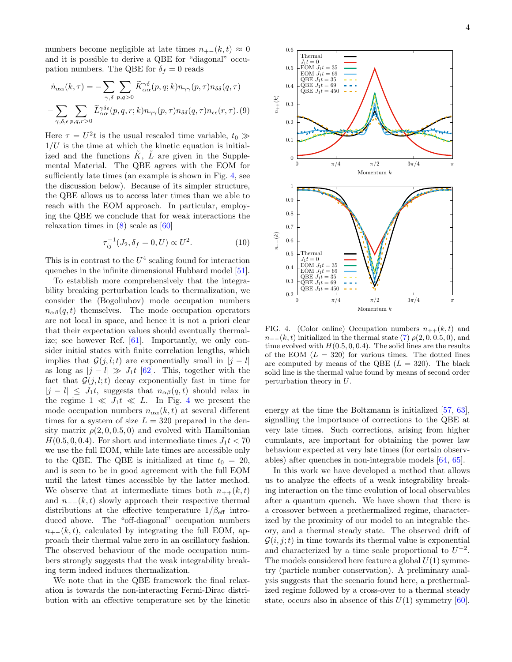numbers become negligible at late times  $n_{+-}(k, t) \approx 0$ and it is possible to derive a QBE for "diagonal" occupation numbers. The QBE for  $\delta_f = 0$  reads

$$
\dot{n}_{\alpha\alpha}(k,\tau) = -\sum_{\gamma,\delta} \sum_{p,q>0} \widetilde{K}_{\alpha\alpha}^{\gamma\delta}(p,q;k)n_{\gamma\gamma}(p,\tau)n_{\delta\delta}(q,\tau) \n- \sum_{\gamma,\delta,\epsilon} \sum_{p,q,r>0} \widetilde{L}_{\alpha\alpha}^{\gamma\delta\epsilon}(p,q,r;k)n_{\gamma\gamma}(p,\tau)n_{\delta\delta}(q,\tau)n_{\epsilon\epsilon}(r,\tau). (9)
$$

Here  $\tau = U^2 t$  is the usual rescaled time variable,  $t_0 \gg$  $1/U$  is the time at which the kinetic equation is initialized and the functions  $\tilde{K}$ ,  $\tilde{L}$  are given in the Supplemental Material. The QBE agrees with the EOM for sufficiently late times (an example is shown in Fig. [4,](#page-3-0) see the discussion below). Because of its simpler structure, the QBE allows us to access later times than we able to reach with the EOM approach. In particular, employing the QBE we conclude that for weak interactions the relaxation times in [\(8\)](#page-2-2) scale as [\[60\]](#page-4-21)

$$
\tau_{ij}^{-1}(J_2, \delta_f = 0, U) \propto U^2.
$$
 (10)

This is in contrast to the  $U^4$  scaling found for interaction quenches in the infinite dimensional Hubbard model [\[51\]](#page-4-12).

To establish more comprehensively that the integrability breaking perturbation leads to thermalization, we consider the (Bogoliubov) mode occupation numbers  $n_{\alpha\beta}(q,t)$  themselves. The mode occupation operators are not local in space, and hence it is not a priori clear that their expectation values should eventually thermalize; see however Ref. [\[61\]](#page-4-22). Importantly, we only consider initial states with finite correlation lengths, which implies that  $\mathcal{G}(j, l; t)$  are exponentially small in  $|j - l|$ as long as  $|j - l| \gg J_1 t$  [\[62\]](#page-4-23). This, together with the fact that  $\mathcal{G}(j, l; t)$  decay exponentially fast in time for  $|j - l| \leq J_1 t$ , suggests that  $n_{\alpha\beta}(q, t)$  should relax in the regime  $1 \ll J_1 t \ll L$ . In Fig. [4](#page-3-0) we present the mode occupation numbers  $n_{\alpha\alpha}(k,t)$  at several different times for a system of size  $L = 320$  prepared in the density matrix  $\rho(2, 0, 0.5, 0)$  and evolved with Hamiltonian  $H(0.5, 0, 0.4)$ . For short and intermediate times  $J_1 t < 70$ we use the full EOM, while late times are accessible only to the QBE. The QBE is initialized at time  $t_0 = 20$ , and is seen to be in good agreement with the full EOM until the latest times accessible by the latter method. We observe that at intermediate times both  $n_{++}(k,t)$ and  $n_{-}(k, t)$  slowly approach their respective thermal distributions at the effective temperature  $1/\beta_{\text{eff}}$  introduced above. The "off-diagonal" occupation numbers  $n_{+-}(k, t)$ , calculated by integrating the full EOM, approach their thermal value zero in an oscillatory fashion. The observed behaviour of the mode occupation numbers strongly suggests that the weak integrability breaking term indeed induces thermalization.

We note that in the QBE framework the final relaxation is towards the non-interacting Fermi-Dirac distribution with an effective temperature set by the kinetic



<span id="page-3-0"></span>FIG. 4. (Color online) Occupation numbers  $n_{++}(k, t)$  and  $n_{-}(k, t)$  initialized in the thermal state [\(7\)](#page-2-1)  $\rho(2, 0, 0.5, 0)$ , and time evolved with  $H(0.5, 0, 0.4)$ . The solid lines are the results of the EOM  $(L = 320)$  for various times. The dotted lines are computed by means of the QBE  $(L = 320)$ . The black solid line is the thermal value found by means of second order perturbation theory in U.

energy at the time the Boltzmann is initialized [\[57,](#page-4-18) [63\]](#page-4-24), signalling the importance of corrections to the QBE at very late times. Such corrections, arising from higher cumulants, are important for obtaining the power law behaviour expected at very late times (for certain observables) after quenches in non-integrable models [\[64,](#page-5-0) [65\]](#page-5-1).

In this work we have developed a method that allows us to analyze the effects of a weak integrability breaking interaction on the time evolution of local observables after a quantum quench. We have shown that there is a crossover between a prethermalized regime, characterized by the proximity of our model to an integrable theory, and a thermal steady state. The observed drift of  $G(i, j; t)$  in time towards its thermal value is exponential and characterized by a time scale proportional to  $U^{-2}$ . The models considered here feature a global  $U(1)$  symmetry (particle number conservation). A preliminary analysis suggests that the scenario found here, a prethermalized regime followed by a cross-over to a thermal steady state, occurs also in absence of this  $U(1)$  symmetry [\[60\]](#page-4-21).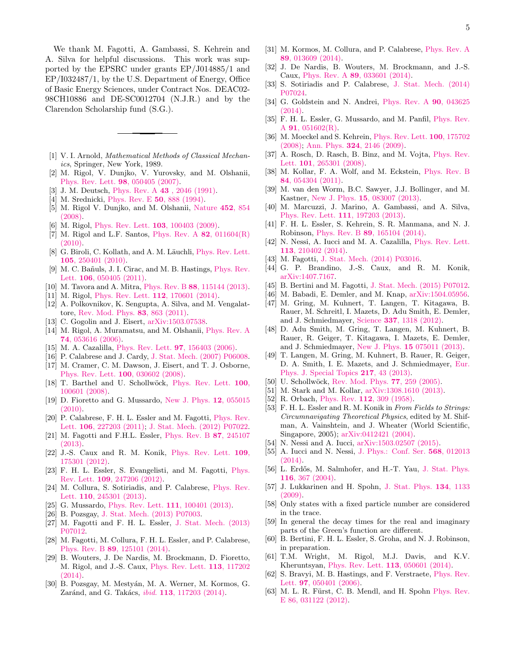We thank M. Fagotti, A. Gambassi, S. Kehrein and A. Silva for helpful discussions. This work was supported by the EPSRC under grants EP/J014885/1 and EP/I032487/1, by the U.S. Department of Energy, Office of Basic Energy Sciences, under Contract Nos. DEAC02- 98CH10886 and DE-SC0012704 (N.J.R.) and by the Clarendon Scholarship fund (S.G.).

- <span id="page-4-0"></span>[1] V. I. Arnold, *Mathematical Methods of Classical Mechan*ics, Springer, New York, 1989.
- <span id="page-4-1"></span>[2] M. Rigol, V. Dunjko, V. Yurovsky, and M. Olshanii, [Phys. Rev. Lett.](http://dx.doi.org/10.1103/PhysRevLett.98.050405) 98, 050405 (2007).
- [3] J. M. Deutsch, Phys. Rev. A **43**[, 2046 \(1991\).](http://dx.doi.org/10.1103/PhysRevA.43.2046)
- [4] M. Srednicki, [Phys. Rev. E](http://dx.doi.org/10.1103/PhysRevE.50.888) 50, 888 (1994).
- [5] M. Rigol V. Dunjko, and M. Olshanii, [Nature](http://dx.doi.org/10.1038/nature06838) 452, 854 [\(2008\).](http://dx.doi.org/10.1038/nature06838)
- [6] M. Rigol, [Phys. Rev. Lett.](http://dx.doi.org/10.1103/PhysRevLett.103.100403) **103**, 100403 (2009).
- [7] M. Rigol and L.F. Santos, [Phys. Rev. A](http://dx.doi.org/10.1103/PhysRevA.82.011604)  $82$ ,  $011604(R)$ [\(2010\).](http://dx.doi.org/10.1103/PhysRevA.82.011604)
- [8] G. Biroli, C. Kollath, and A. M. Läuchli, [Phys. Rev. Lett.](http://dx.doi.org/10.1103/PhysRevLett.105.250401) 105[, 250401 \(2010\).](http://dx.doi.org/10.1103/PhysRevLett.105.250401)
- [9] M. C. Bañuls, J. I. Cirac, and M. B. Hastings, [Phys. Rev.](http://dx.doi.org/10.1103/PhysRevLett.106.050405) Lett. 106[, 050405 \(2011\).](http://dx.doi.org/10.1103/PhysRevLett.106.050405)
- [10] M. Tavora and A. Mitra, Phys. Rev. B 88[, 115144 \(2013\).](http://dx.doi.org/10.1103/PhysRevB.88.115144)
- [11] M. Rigol, [Phys. Rev. Lett.](http://dx.doi.org/10.1103/PhysRevLett.112.170601) 112, 170601 (2014).
- <span id="page-4-3"></span>[12] A. Polkovnikov, K. Sengupta, A. Silva, and M. Vengalattore, [Rev. Mod. Phys.](http://dx.doi.org/10.1103/RevModPhys.83.863) 83, 863 (2011).
- <span id="page-4-2"></span>[13] C. Gogolin and J. Eisert, [arXiv:1503.07538.](http://arxiv.org/abs/1503.07538)
- [14] M. Rigol, A. Muramatsu, and M. Olshanii, [Phys. Rev. A](http://dx.doi.org/10.1103/PhysRevA.74.053616) 74[, 053616 \(2006\).](http://dx.doi.org/10.1103/PhysRevA.74.053616)
- [15] M. A. Cazalilla, [Phys. Rev. Lett.](http://dx.doi.org/10.1103/PhysRevLett.97.156403) 97, 156403 (2006).
- [16] P. Calabrese and J. Cardy, [J. Stat. Mech. \(2007\) P06008.](http://dx.doi.org/10.1088/1742-5468/2007/06/P06008)
- [17] M. Cramer, C. M. Dawson, J. Eisert, and T. J. Osborne, [Phys. Rev. Lett.](http://dx.doi.org/10.1103/PhysRevLett.100.030602) 100, 030602 (2008).
- [18] T. Barthel and U. Schollwöck, [Phys. Rev. Lett.](http://dx.doi.org/10.1103/PhysRevLett.100.100601) 100, [100601 \(2008\).](http://dx.doi.org/10.1103/PhysRevLett.100.100601)
- [19] D. Fioretto and G. Mussardo, [New J. Phys.](http://dx.doi.org/10.1088/1367-2630/12/5/055015) 12, 055015 [\(2010\).](http://dx.doi.org/10.1088/1367-2630/12/5/055015)
- [20] P. Calabrese, F. H. L. Essler and M. Fagotti, [Phys. Rev.](http://dx.doi.org/10.1103/PhysRevLett.106.227203) Lett. 106[, 227203 \(2011\);](http://dx.doi.org/10.1103/PhysRevLett.106.227203) [J. Stat. Mech. \(2012\) P07022.](http://dx.doi.org/10.1088/1742-5468/2012/07/P07016)
- [21] M. Fagotti and F.H.L. Essler, [Phys. Rev. B](http://dx.doi.org/10.1103/PhysRevB.87.245107) 87, 245107  $(2013)$
- [22] J.-S. Caux and R. M. Konik, [Phys. Rev. Lett.](http://dx.doi.org/10.1103/PhysRevLett.109.175301) 109, [175301 \(2012\).](http://dx.doi.org/10.1103/PhysRevLett.109.175301)
- [23] F. H. L. Essler, S. Evangelisti, and M. Fagotti, [Phys.](http://dx.doi.org/10.1103/PhysRevLett.109.247206) Rev. Lett. 109[, 247206 \(2012\).](http://dx.doi.org/10.1103/PhysRevLett.109.247206)
- [24] M. Collura, S. Sotiriadis, and P. Calabrese, [Phys. Rev.](http://dx.doi.org/10.1103/PhysRevLett.110.245301) Lett. 110[, 245301 \(2013\).](http://dx.doi.org/10.1103/PhysRevLett.110.245301)
- [25] G. Mussardo, *[Phys. Rev. Lett.](http://dx.doi.org/10.1103/PhysRevLett.111.100401)* **111**, 100401 (2013).
- [26] B. Pozsgay, [J. Stat. Mech. \(2013\) P07003.](http://dx.doi.org/10.1088/1742-5468/2013/07/P07003)
- [27] M. Fagotti and F. H. L. Essler, [J. Stat. Mech. \(2013\)](http://dx.doi.org/10.1088/1742-5468/2013/07/P07012) [P07012.](http://dx.doi.org/10.1088/1742-5468/2013/07/P07012)
- [28] M. Fagotti, M. Collura, F. H. L. Essler, and P. Calabrese, Phys. Rev. B 89[, 125101 \(2014\).](http://dx.doi.org/10.1103/PhysRevB.89.125101)
- [29] B. Wouters, J. De Nardis, M. Brockmann, D. Fioretto, M. Rigol, and J.-S. Caux, [Phys. Rev. Lett.](http://dx.doi.org/10.1103/PhysRevLett.113.117202) 113, 117202 [\(2014\).](http://dx.doi.org/10.1103/PhysRevLett.113.117202)
- [30] B. Pozsgay, M. Mestyán, M. A. Werner, M. Kormos, G. Zaránd, and G. Takács, *ibid.* **113**[, 117203 \(2014\).](http://dx.doi.org/10.1103/PhysRevLett.113.117203)
- [31] M. Kormos, M. Collura, and P. Calabrese, [Phys. Rev. A](http://dx.doi.org/10.1103/PhysRevA.89.013609) 89[, 013609 \(2014\).](http://dx.doi.org/10.1103/PhysRevA.89.013609)
- [32] J. De Nardis, B. Wouters, M. Brockmann, and J.-S. Caux, Phys. Rev. A 89[, 033601 \(2014\).](http://dx.doi.org/10.1103/PhysRevA.89.033601)
- [33] S. Sotiriadis and P. Calabrese, [J. Stat. Mech. \(2014\)](http://dx.doi.org/10.1088/1742-5468/2014/07/P07024) [P07024.](http://dx.doi.org/10.1088/1742-5468/2014/07/P07024)
- [34] G. Goldstein and N. Andrei, [Phys. Rev. A](http://dx.doi.org/10.1103/PhysRevA.90.043625) **90**, 043625 [\(2014\).](http://dx.doi.org/10.1103/PhysRevA.90.043625)
- <span id="page-4-4"></span>[35] F. H. L. Essler, G. Mussardo, and M. Panfil, [Phys. Rev.](http://dx.doi.org/10.1103/PhysRevA.91.051602) A 91[, 051602\(R\).](http://dx.doi.org/10.1103/PhysRevA.91.051602)
- <span id="page-4-5"></span>[36] M. Moeckel and S. Kehrein, [Phys. Rev. Lett.](http://dx.doi.org/10.1103/PhysRevLett.100.175702) 100, 175702  $(2008)$ ; Ann. Phys. **324**, 2146  $(2009)$ .
- [37] A. Rosch, D. Rasch, B. Binz, and M. Vojta, [Phys. Rev.](http://dx.doi.org/10.1103/PhysRevLett.101.265301) Lett. 101[, 265301 \(2008\).](http://dx.doi.org/10.1103/PhysRevLett.101.265301)
- [38] M. Kollar, F. A. Wolf, and M. Eckstein, [Phys. Rev. B](http://dx.doi.org/10.1103/PhysRevB.84.054304) 84[, 054304 \(2011\).](http://dx.doi.org/10.1103/PhysRevB.84.054304)
- [39] M. van den Worm, B.C. Sawyer, J.J. Bollinger, and M. Kastner, New J. Phys. 15[, 083007 \(2013\).](http://dx.doi.org/10.1088/1367-2630/15/8/083007)
- [40] M. Marcuzzi, J. Marino, A. Gambassi, and A. Silva, [Phys. Rev. Lett.](http://dx.doi.org/10.1103/PhysRevLett.111.197203) 111, 197203 (2013).
- <span id="page-4-10"></span>[41] F. H. L. Essler, S. Kehrein, S. R. Manmana, and N. J. Robinson, Phys. Rev. B 89[, 165104 \(2014\).](http://dx.doi.org/10.1103/PhysRevB.89.165104)
- [42] N. Nessi, A. Iucci and M. A. Cazalilla, [Phys. Rev. Lett.](http://dx.doi.org/10.1103/PhysRevLett.113.210402) 113[, 210402 \(2014\).](http://dx.doi.org/10.1103/PhysRevLett.113.210402)
- [43] M. Fagotti, [J. Stat. Mech. \(2014\) P03016.](http://dx.doi.org/10.1088/1742-5468/2014/03/P03016)
- [44] G. P. Brandino, J.-S. Caux, and R. M. Konik, [arXiv:1407.7167.](http://arxiv.org/abs/1407.7167)
- <span id="page-4-11"></span>[45] B. Bertini and M. Fagotti, [J. Stat. Mech. \(2015\) P07012.](http://dx.doi.org/10.1088/1742-5468/2015/07/P07012)
- <span id="page-4-6"></span>[46] M. Babadi, E. Demler, and M. Knap,  $arXiv:1504.05956$ .
- <span id="page-4-7"></span>[47] M. Gring, M. Kuhnert, T. Langen, T. Kitagawa, B. Rauer, M. Schreitl, I. Mazets, D. Adu Smith, E. Demler, and J. Schmiedmayer, Science 337[, 1318 \(2012\).](http://dx.doi.org/10.1126/science.1224953)
- [48] D. Adu Smith, M. Gring, T. Langen, M. Kuhnert, B. Rauer, R. Geiger, T. Kitagawa, I. Mazets, E. Demler, and J. Schmiedmayer, New J. Phys. 15 [075011 \(2013\).](http://dx.doi.org/10.1088/1367-2630/15/7/075011)
- <span id="page-4-8"></span>[49] T. Langen, M. Gring, M. Kuhnert, B. Rauer, R. Geiger, D. A. Smith, I. E. Mazets, and J. Schmiedmayer, [Eur.](http://dx.doi.org/10.1140/epjst/e2013-01752-0) [Phys. J. Special Topics](http://dx.doi.org/10.1140/epjst/e2013-01752-0) 217, 43 (2013).
- <span id="page-4-9"></span>[50] U. Schollwöck, [Rev. Mod. Phys.](http://dx.doi.org/10.1103/RevModPhys.77.259) **77**, 259 (2005).
- <span id="page-4-12"></span>[51] M. Stark and M. Kollar, [arXiv:1308.1610 \(2013\).](http://arxiv.org/abs/1308.1610)
- <span id="page-4-13"></span>[52] R. Orbach, Phys. Rev. **112**[, 309 \(1958\).](http://dx.doi.org/10.1103/PhysRev.112.309)
- <span id="page-4-14"></span>[53] F. H. L. Essler and R. M. Konik in From Fields to Strings: Circumnavigating Theoretical Physics, edited by M. Shifman, A. Vainshtein, and J. Wheater (World Scientific, Singapore, 2005); [arXiv:0412421 \(2004\).](http://arxiv.org/abs/cond-mat/0412421)
- <span id="page-4-15"></span>[54] N. Nessi and A. Iucci, [arXiv:1503.02507 \(2015\).](http://arxiv.org/abs/1503.02507)
- <span id="page-4-16"></span>[55] A. Iucci and N. Nessi, [J. Phys.: Conf. Ser.](http://dx.doi.org/10.1088/1742-6596/568/1/012013) 568, 012013 [\(2014\).](http://dx.doi.org/10.1088/1742-6596/568/1/012013)
- <span id="page-4-17"></span>[56] L. Erdős, M. Salmhofer, and H.-T. Yau, [J. Stat. Phys.](http://dx.doi.org/10.1023/B:JOSS.0000037224.56191.ed) 116[, 367 \(2004\).](http://dx.doi.org/10.1023/B:JOSS.0000037224.56191.ed)
- <span id="page-4-18"></span>[57] J. Lukkarinen and H. Spohn, [J. Stat. Phys.](http://dx.doi.org/10.1007/s10955-009-9682-8) 134, 1133 [\(2009\).](http://dx.doi.org/10.1007/s10955-009-9682-8)
- <span id="page-4-19"></span>[58] Only states with a fixed particle number are considered in the trace.
- <span id="page-4-20"></span>[59] In general the decay times for the real and imaginary parts of the Green's function are different.
- <span id="page-4-21"></span>[60] B. Bertini, F. H. L. Essler, S. Groha, and N. J. Robinson, in preparation.
- <span id="page-4-22"></span>[61] T.M. Wright, M. Rigol, M.J. Davis, and K.V. Kheruntsyan, [Phys. Rev. Lett.](http://dx.doi.org/10.1103/PhysRevLett.113.050601) 113, 050601 (2014).
- <span id="page-4-23"></span>[62] S. Bravyi, M. B. Hastings, and F. Verstraete, [Phys. Rev.](http://dx.doi.org/10.1103/PhysRevLett.97.050401) Lett. 97[, 050401 \(2006\).](http://dx.doi.org/10.1103/PhysRevLett.97.050401)
- <span id="page-4-24"></span>[63] M. L. R. Fürst, C. B. Mendl, and H. Spohn [Phys. Rev.](http://dx.doi.org/10.1103/PhysRevE.86.031122) [E 86, 031122 \(2012\).](http://dx.doi.org/10.1103/PhysRevE.86.031122)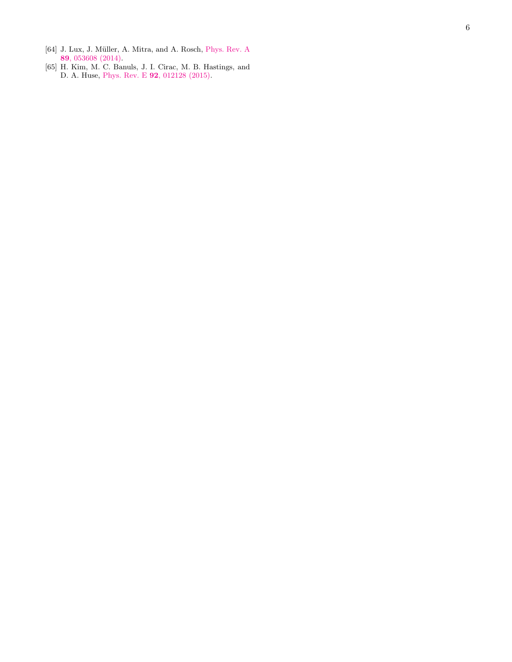- <span id="page-5-0"></span> $\left[ 64\right]$  J. Lux, J. Müller, A. Mitra, and A. Rosch, [Phys. Rev. A](http://dx.doi.org/10.1103/PhysRevA.89.053608) 89[, 053608 \(2014\)](http://dx.doi.org/10.1103/PhysRevA.89.053608) .
- <span id="page-5-1"></span>[65] H. Kim, M. C. Banuls, J. I. Cirac, M. B. Hastings, and D. A. Huse, Phys. Rev. E **92**[, 012128 \(2015\)](http://dx.doi.org/10.1103/PhysRevE.92.012128).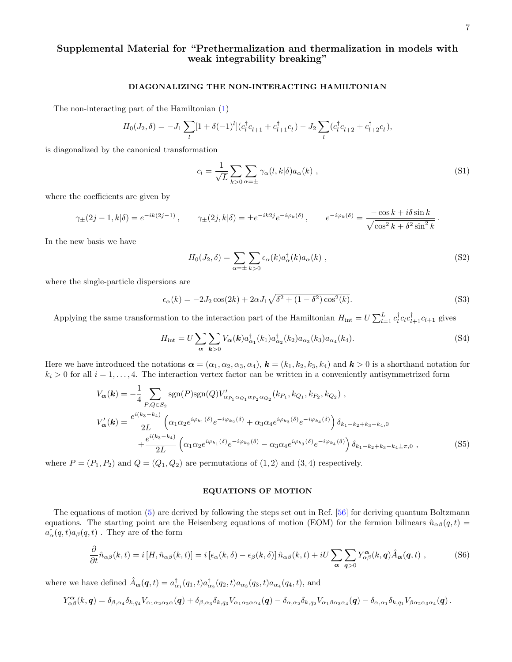# Supplemental Material for "Prethermalization and thermalization in models with weak integrability breaking"

### DIAGONALIZING THE NON-INTERACTING HAMILTONIAN

The non-interacting part of the Hamiltonian [\(1\)](#page-0-0)

$$
H_0(J_2, \delta) = -J_1 \sum_l [1 + \delta(-1)^l] (c_l^{\dagger} c_{l+1} + c_{l+1}^{\dagger} c_l) - J_2 \sum_l (c_l^{\dagger} c_{l+2} + c_{l+2}^{\dagger} c_l),
$$

is diagonalized by the canonical transformation

$$
c_l = \frac{1}{\sqrt{L}} \sum_{k>0} \sum_{\alpha=\pm} \gamma_\alpha(l, k | \delta) a_\alpha(k) , \qquad (S1)
$$

where the coefficients are given by

$$
\gamma_{\pm}(2j-1,k|\delta) = e^{-ik(2j-1)}, \qquad \gamma_{\pm}(2j,k|\delta) = \pm e^{-ik2j}e^{-i\varphi_k(\delta)}, \qquad e^{-i\varphi_k(\delta)} = \frac{-\cos k + i\delta \sin k}{\sqrt{\cos^2 k + \delta^2 \sin^2 k}}
$$

In the new basis we have

$$
H_0(J_2, \delta) = \sum_{\alpha = \pm} \sum_{k > 0} \epsilon_\alpha(k) a_\alpha^\dagger(k) a_\alpha(k) \tag{S2}
$$

where the single-particle dispersions are

$$
\epsilon_{\alpha}(k) = -2J_2 \cos(2k) + 2\alpha J_1 \sqrt{\delta^2 + (1 - \delta^2) \cos^2(k)}.
$$
\n(S3)

Applying the same transformation to the interaction part of the Hamiltonian  $H_{\text{int}} = U \sum_{l=1}^{L} c_l^{\dagger} c_l c_{l+1}^{\dagger} c_{l+1}$  gives

$$
H_{\rm int} = U \sum_{\alpha} \sum_{k>0} V_{\alpha}(k) a_{\alpha_1}^{\dagger}(k_1) a_{\alpha_2}^{\dagger}(k_2) a_{\alpha_3}(k_3) a_{\alpha_4}(k_4).
$$
 (S4)

Here we have introduced the notations  $\boldsymbol{\alpha} = (\alpha_1, \alpha_2, \alpha_3, \alpha_4)$ ,  $\boldsymbol{k} = (k_1, k_2, k_3, k_4)$  and  $\boldsymbol{k} > 0$  is a shorthand notation for  $k_i > 0$  for all  $i = 1, \ldots, 4$ . The interaction vertex factor can be written in a conveniently antisymmetrized form

$$
V_{\alpha}(\mathbf{k}) = -\frac{1}{4} \sum_{P,Q \in S_2} \text{sgn}(P) \text{sgn}(Q) V'_{\alpha_{P_1} \alpha_{Q_1} \alpha_{P_2} \alpha_{Q_2}}(k_{P_1}, k_{Q_1}, k_{P_2}, k_{Q_2}),
$$
  
\n
$$
V'_{\alpha}(\mathbf{k}) = \frac{e^{i(k_3 - k_4)}}{2L} \left( \alpha_1 \alpha_2 e^{i\varphi_{k_1}(\delta)} e^{-i\varphi_{k_2}(\delta)} + \alpha_3 \alpha_4 e^{i\varphi_{k_3}(\delta)} e^{-i\varphi_{k_4}(\delta)} \right) \delta_{k_1 - k_2 + k_3 - k_4, 0}
$$
  
\n
$$
+ \frac{e^{i(k_3 - k_4)}}{2L} \left( \alpha_1 \alpha_2 e^{i\varphi_{k_1}(\delta)} e^{-i\varphi_{k_2}(\delta)} - \alpha_3 \alpha_4 e^{i\varphi_{k_3}(\delta)} e^{-i\varphi_{k_4}(\delta)} \right) \delta_{k_1 - k_2 + k_3 - k_4 \pm \pi, 0},
$$
\n(S5)

where  $P = (P_1, P_2)$  and  $Q = (Q_1, Q_2)$  are permutations of  $(1, 2)$  and  $(3, 4)$  respectively.

### EQUATIONS OF MOTION

The equations of motion [\(5\)](#page-1-0) are derived by following the steps set out in Ref. [\[56\]](#page-4-17) for deriving quantum Boltzmann equations. The starting point are the Heisenberg equations of motion (EOM) for the fermion bilinears  $\hat{n}_{\alpha\beta}(q,t)$  $a_{\alpha}^{\dagger}(q,t)a_{\beta}(q,t)$  . They are of the form

$$
\frac{\partial}{\partial t}\hat{n}_{\alpha\beta}(k,t) = i[H,\hat{n}_{\alpha\beta}(k,t)] = i[\epsilon_{\alpha}(k,\delta) - \epsilon_{\beta}(k,\delta)]\,\hat{n}_{\alpha\beta}(k,t) + iU\sum_{\alpha}\sum_{\mathbf{q}>0}Y^{\alpha}_{\alpha\beta}(k,\mathbf{q})\hat{A}_{\alpha}(\mathbf{q},t) ,\qquad (S6)
$$

where we have defined  $\hat{A}_{\alpha}(q,t) = a_{\alpha_1}^{\dagger}(q_1,t)a_{\alpha_2}^{\dagger}(q_2,t)a_{\alpha_3}(q_3,t)a_{\alpha_4}(q_4,t)$ , and

$$
Y^{\alpha}_{\alpha\beta}(k,q)=\delta_{\beta,\alpha_4}\delta_{k,q_4}V_{\alpha_1\alpha_2\alpha_3\alpha}(q)+\delta_{\beta,\alpha_3}\delta_{k,q_3}V_{\alpha_1\alpha_2\alpha_4}(q)-\delta_{\alpha,\alpha_2}\delta_{k,q_2}V_{\alpha_1\beta\alpha_3\alpha_4}(q)-\delta_{\alpha,\alpha_1}\delta_{k,q_1}V_{\beta\alpha_2\alpha_3\alpha_4}(q)\,.
$$

.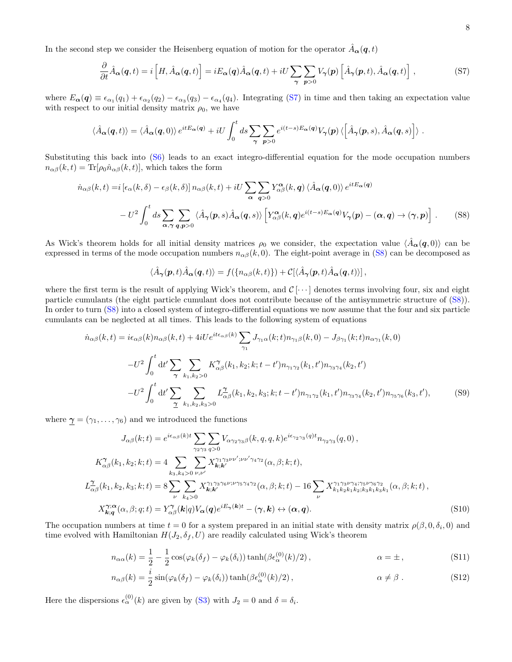In the second step we consider the Heisenberg equation of motion for the operator  $\hat{A}_{\alpha}(q, t)$ 

$$
\frac{\partial}{\partial t}\hat{A}_{\alpha}(q,t) = i\left[H, \hat{A}_{\alpha}(q,t)\right] = iE_{\alpha}(q)\hat{A}_{\alpha}(q,t) + iU\sum_{\gamma} \sum_{p>0} V_{\gamma}(p)\left[\hat{A}_{\gamma}(p,t), \hat{A}_{\alpha}(q,t)\right],\tag{S7}
$$

where  $E_{\alpha}(q) \equiv \epsilon_{\alpha_1}(q_1) + \epsilon_{\alpha_2}(q_2) - \epsilon_{\alpha_3}(q_3) - \epsilon_{\alpha_4}(q_4)$ . Integrating [\(S7\)](#page-2-1) in time and then taking an expectation value with respect to our initial density matrix  $\rho_0$ , we have

$$
\langle \hat{A}_{\alpha}(q,t) \rangle = \langle \hat{A}_{\alpha}(q,0) \rangle e^{itE_{\alpha}(q)} + iU \int_0^t ds \sum_{\gamma} \sum_{p>0} e^{i(t-s)E_{\alpha}(q)} V_{\gamma}(p) \langle \left[ \hat{A}_{\gamma}(p,s), \hat{A}_{\alpha}(q,s) \right] \rangle.
$$

Substituting this back into [\(S6\)](#page-1-2) leads to an exact integro-differential equation for the mode occupation numbers  $n_{\alpha\beta}(k,t) = \text{Tr}[\rho_0 \hat{n}_{\alpha\beta}(k,t)]$ , which takes the form

$$
\dot{n}_{\alpha\beta}(k,t) = i \left[ \epsilon_{\alpha}(k,\delta) - \epsilon_{\beta}(k,\delta) \right] n_{\alpha\beta}(k,t) + iU \sum_{\alpha} \sum_{q>0} Y^{\alpha}_{\alpha\beta}(k,q) \langle \hat{A}_{\alpha}(q,0) \rangle e^{itE_{\alpha}(q)} \n- U^2 \int_0^t ds \sum_{\alpha,\gamma} \sum_{q,p>0} \langle \hat{A}_{\gamma}(p,s) \hat{A}_{\alpha}(q,s) \rangle \left[ Y^{\alpha}_{\alpha\beta}(k,q) e^{i(t-s)E_{\alpha}(q)} V_{\gamma}(p) - (\alpha,q) \to (\gamma,p) \right].
$$
\n(S8)

As Wick's theorem holds for all initial density matrices  $\rho_0$  we consider, the expectation value  $\langle \hat{A}_{\alpha}(q, 0) \rangle$  can be expressed in terms of the mode occupation numbers  $n_{\alpha\beta}(k, 0)$ . The eight-point average in [\(S8\)](#page-2-2) can be decomposed as

$$
\langle \hat{A}_{\gamma}(\boldsymbol{p},t) \hat{A}_{\alpha}(\boldsymbol{q},t) \rangle = f(\{n_{\alpha\beta}(k,t)\}) + \mathcal{C}[\langle \hat{A}_{\gamma}(\boldsymbol{p},t) \hat{A}_{\alpha}(\boldsymbol{q},t) \rangle],
$$

where the first term is the result of applying Wick's theorem, and  $\mathcal{C}[\cdots]$  denotes terms involving four, six and eight particle cumulants (the eight particle cumulant does not contribute because of the antisymmetric structure of [\(S8\)](#page-2-2)). In order to turn [\(S8\)](#page-2-2) into a closed system of integro-differential equations we now assume that the four and six particle cumulants can be neglected at all times. This leads to the following system of equations

$$
\dot{n}_{\alpha\beta}(k,t) = i\epsilon_{\alpha\beta}(k)n_{\alpha\beta}(k,t) + 4iUe^{it\epsilon_{\alpha\beta}(k)}\sum_{\gamma_1} J_{\gamma_1\alpha}(k;t)n_{\gamma_1\beta}(k,0) - J_{\beta\gamma_1}(k;t)n_{\alpha\gamma_1}(k,0) \n- U^2 \int_0^t dt' \sum_{\gamma} \sum_{k_1,k_2>0} K_{\alpha\beta}^{\gamma}(k_1,k_2;k;t-t')n_{\gamma_1\gamma_2}(k_1,t')n_{\gamma_3\gamma_4}(k_2,t') \n- U^2 \int_0^t dt' \sum_{\gamma} \sum_{k_1,k_2,k_3>0} L_{\alpha\beta}^{\gamma}(k_1,k_2,k_3;k;t-t')n_{\gamma_1\gamma_2}(k_1,t')n_{\gamma_3\gamma_4}(k_2,t')n_{\gamma_5\gamma_6}(k_3,t'),
$$
\n(S9)

where  $\gamma = (\gamma_1, \ldots, \gamma_6)$  and we introduced the functions

$$
J_{\alpha\beta}(k;t) = e^{i\epsilon_{\alpha\beta}(k)t} \sum_{\gamma_2\gamma_3} \sum_{q>0} V_{\alpha\gamma_2\gamma_3\beta}(k,q,q,k)e^{i\epsilon_{\gamma_2\gamma_3}(q)t} n_{\gamma_2\gamma_3}(q,0),
$$
  
\n
$$
K_{\alpha\beta}^{\gamma}(k_1,k_2;k;t) = 4 \sum_{k_3,k_4>0} \sum_{\nu,\nu'} X_{k;k'}^{\gamma_1\gamma_3\nu'\cdot\nu'\gamma_4\gamma_2}(\alpha,\beta;k;t),
$$
  
\n
$$
L_{\alpha\beta}^{\gamma}(k_1,k_2,k_3;k;t) = 8 \sum_{\nu} \sum_{k_4>0} X_{k;k'}^{\gamma_1\gamma_3\gamma_6\nu;\nu'\gamma_5\gamma_4\gamma_2}(\alpha,\beta;k;t) - 16 \sum_{\nu} X_{k_1k_2k_1k_2;k_3k_1k_3k_1}^{\gamma_1\gamma_3\nu\gamma_4\gamma_5\nu'\gamma_6\gamma_2}(\alpha,\beta;k;t),
$$
  
\n
$$
X_{k;q}^{\gamma;\alpha}(\alpha,\beta;q;t) = Y_{\alpha\beta}^{\gamma}(k|q)V_{\alpha}(q)e^{iE_{\gamma}(k)t} - (\gamma,k) \leftrightarrow (\alpha,q).
$$
\n(S10)

The occupation numbers at time  $t = 0$  for a system prepared in an initial state with density matrix  $\rho(\beta, 0, \delta_i, 0)$  and time evolved with Hamiltonian  $H(J_2, \delta_f, U)$  are readily calculated using Wick's theorem

$$
n_{\alpha\alpha}(k) = \frac{1}{2} - \frac{1}{2}\cos(\varphi_k(\delta_f) - \varphi_k(\delta_i))\tanh(\beta\epsilon_\alpha^{(0)}(k)/2), \qquad \alpha = \pm,
$$
\n(S11)

$$
n_{\alpha\beta}(k) = \frac{i}{2}\sin(\varphi_k(\delta_f) - \varphi_k(\delta_i))\tanh(\beta\epsilon_\alpha^{(0)}(k)/2), \qquad \alpha \neq \beta.
$$
 (S12)

Here the dispersions  $\epsilon_{\alpha}^{(0)}(k)$  are given by [\(S3\)](#page-1-3) with  $J_2 = 0$  and  $\delta = \delta_i$ .